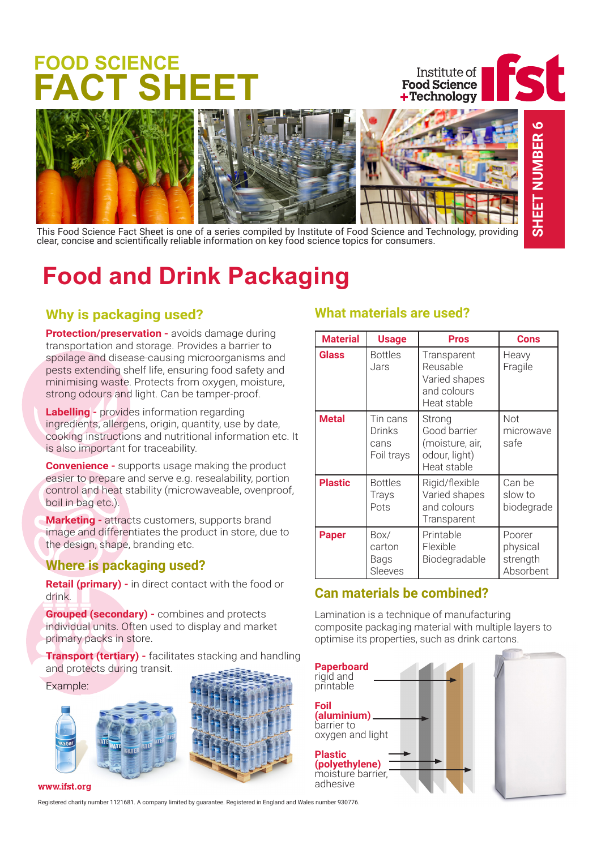## **FOOD SCIENCE FACT SHEET**





This Food Science Fact Sheet is one of a series compiled by Institute of Food Science and Technology, providing clear, concise and scientifically reliable information on key food science topics for consumers.

## **Food and Drink Packaging**

### **Why is packaging used?**

**Protection/preservation - avoids damage during** transportation and storage. Provides a barrier to spoilage and disease-causing microorganisms and pests extending shelf life, ensuring food safety and minimising waste. Protects from oxygen, moisture, strong odours and light. Can be tamper-proof.

**Labelling -** provides information regarding ingredients, allergens, origin, quantity, use by date, cooking instructions and nutritional information etc. It is also important for traceability.

**Convenience -** supports usage making the product easier to prepare and serve e.g. resealability, portion control and heat stability (microwaveable, ovenproof, boil in bag etc.).

**Marketing -** attracts customers, supports brand image and differentiates the product in store, due to the design, shape, branding etc.

### **Where is packaging used?**

**Retail (primary) -** in direct contact with the food or drink.

**Grouped (secondary) -** combines and protects individual units. Often used to display and market primary packs in store.

**Transport (tertiary) -** facilitates stacking and handling and protects during transit.

#### Example:





#### www.ifst.org

Registered charity number 1121681. A company limited by guarantee. Registered in England and Wales number 930776.

### **What materials are used?**

| <b>Material</b> | <b>Usage</b>                             | <b>Pros</b>                                                               | Cons                                        |
|-----------------|------------------------------------------|---------------------------------------------------------------------------|---------------------------------------------|
| Glass           | <b>Bottles</b><br>Jars                   | Transparent<br>Reusable<br>Varied shapes<br>and colours<br>Heat stable    | Heavy<br>Fragile                            |
| <b>Metal</b>    | Tin cans<br>Drinks<br>cans<br>Foil trays | Strong<br>Good barrier<br>(moisture, air,<br>odour, light)<br>Heat stable | Not<br>microwave<br>safe                    |
| <b>Plastic</b>  | <b>Bottles</b><br>Trays<br>Pots          | Rigid/flexible<br>Varied shapes<br>and colours<br>Transparent             | Can be<br>slow to<br>biodegrade             |
| <b>Paper</b>    | Box/<br>carton<br>Bags<br>Sleeves        | Printable<br>Flexible<br>Biodegradable                                    | Poorer<br>physical<br>strength<br>Absorbent |

### **Can materials be combined?**

Lamination is a technique of manufacturing composite packaging material with multiple layers to optimise its properties, such as drink cartons.